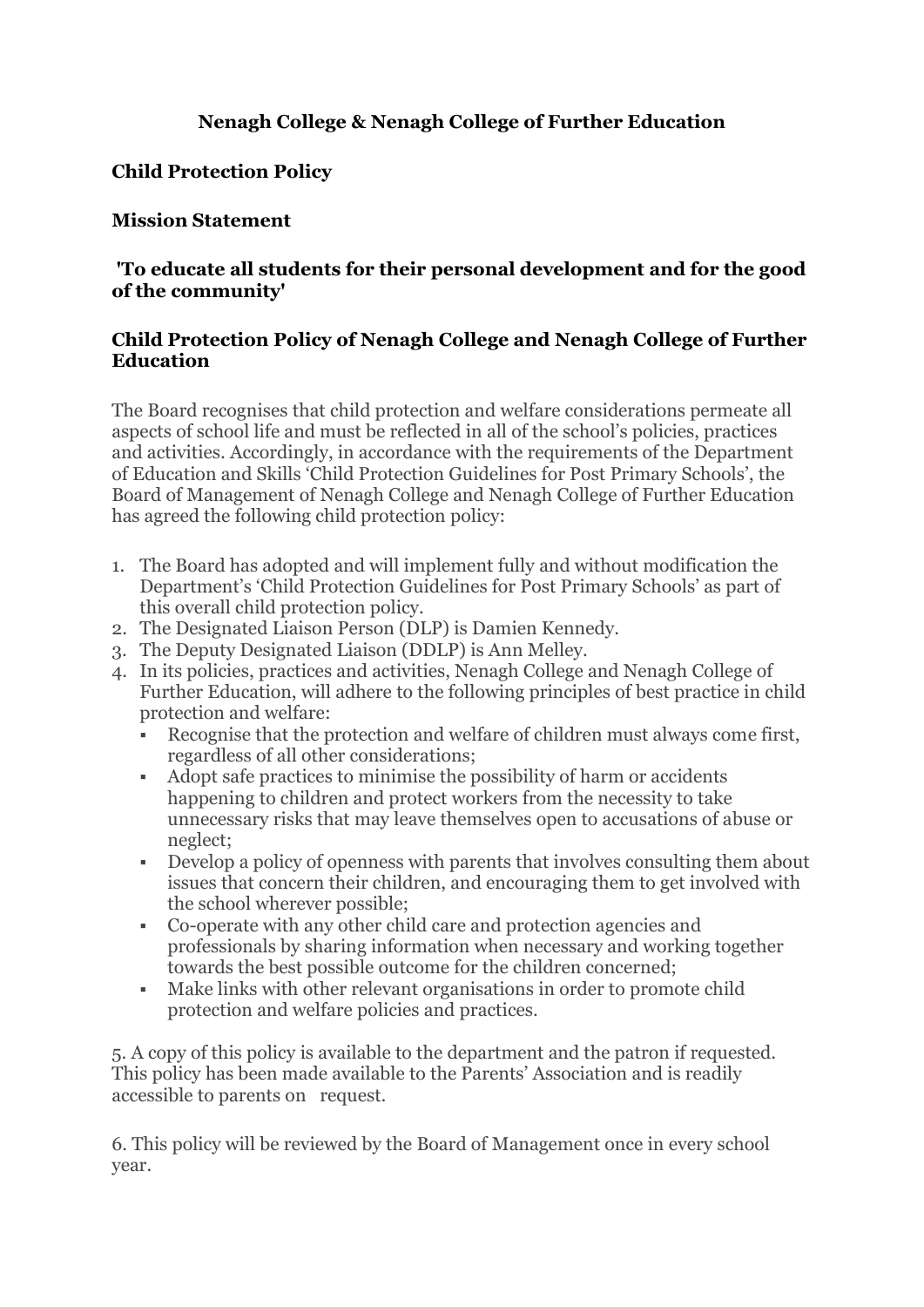# **Nenagh College & Nenagh College of Further Education**

## **Child Protection Policy**

### **Mission Statement**

### **'To educate all students for their personal development and for the good of the community'**

#### **Child Protection Policy of Nenagh College and Nenagh College of Further Education**

The Board recognises that child protection and welfare considerations permeate all aspects of school life and must be reflected in all of the school's policies, practices and activities. Accordingly, in accordance with the requirements of the Department of Education and Skills 'Child Protection Guidelines for Post Primary Schools', the Board of Management of Nenagh College and Nenagh College of Further Education has agreed the following child protection policy:

- 1. The Board has adopted and will implement fully and without modification the Department's 'Child Protection Guidelines for Post Primary Schools' as part of this overall child protection policy.
- 2. The Designated Liaison Person (DLP) is Damien Kennedy.
- 3. The Deputy Designated Liaison (DDLP) is Ann Melley.
- 4. In its policies, practices and activities, Nenagh College and Nenagh College of Further Education, will adhere to the following principles of best practice in child protection and welfare:
	- Recognise that the protection and welfare of children must always come first, regardless of all other considerations;
	- Adopt safe practices to minimise the possibility of harm or accidents happening to children and protect workers from the necessity to take unnecessary risks that may leave themselves open to accusations of abuse or neglect;
	- Develop a policy of openness with parents that involves consulting them about issues that concern their children, and encouraging them to get involved with the school wherever possible;
	- Co-operate with any other child care and protection agencies and professionals by sharing information when necessary and working together towards the best possible outcome for the children concerned;
	- Make links with other relevant organisations in order to promote child protection and welfare policies and practices.

5. A copy of this policy is available to the department and the patron if requested. This policy has been made available to the Parents' Association and is readily accessible to parents on request.

6. This policy will be reviewed by the Board of Management once in every school year.